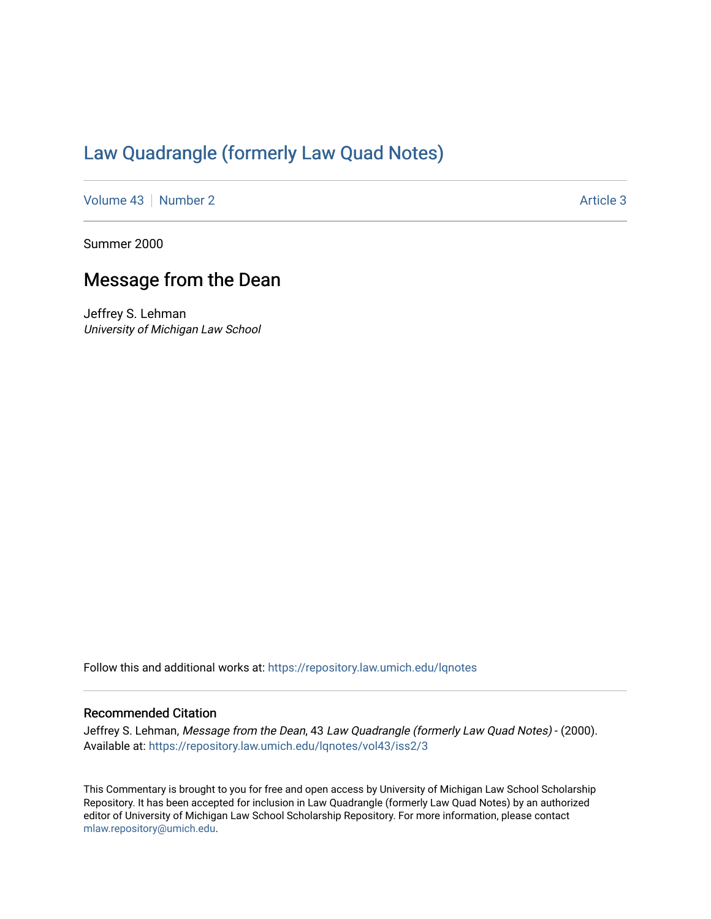## [Law Quadrangle \(formerly Law Quad Notes\)](https://repository.law.umich.edu/lqnotes)

[Volume 43](https://repository.law.umich.edu/lqnotes/vol43) [Number 2](https://repository.law.umich.edu/lqnotes/vol43/iss2) Article 3

Summer 2000

## Message from the Dean

Jeffrey S. Lehman University of Michigan Law School

Follow this and additional works at: [https://repository.law.umich.edu/lqnotes](https://repository.law.umich.edu/lqnotes?utm_source=repository.law.umich.edu%2Flqnotes%2Fvol43%2Fiss2%2F3&utm_medium=PDF&utm_campaign=PDFCoverPages) 

## Recommended Citation

Jeffrey S. Lehman, Message from the Dean, 43 Law Quadrangle (formerly Law Quad Notes) - (2000). Available at: [https://repository.law.umich.edu/lqnotes/vol43/iss2/3](https://repository.law.umich.edu/lqnotes/vol43/iss2/3?utm_source=repository.law.umich.edu%2Flqnotes%2Fvol43%2Fiss2%2F3&utm_medium=PDF&utm_campaign=PDFCoverPages) 

This Commentary is brought to you for free and open access by University of Michigan Law School Scholarship Repository. It has been accepted for inclusion in Law Quadrangle (formerly Law Quad Notes) by an authorized editor of University of Michigan Law School Scholarship Repository. For more information, please contact [mlaw.repository@umich.edu.](mailto:mlaw.repository@umich.edu)